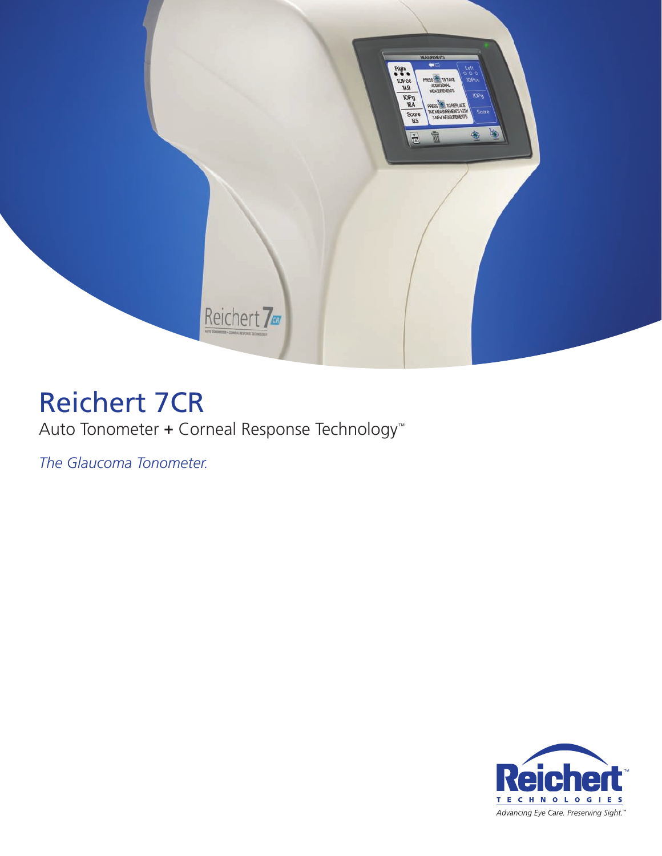

# Reichert 7CR

## Auto Tonometer **+** Corneal Response Technology™

*The Glaucoma Tonometer.*